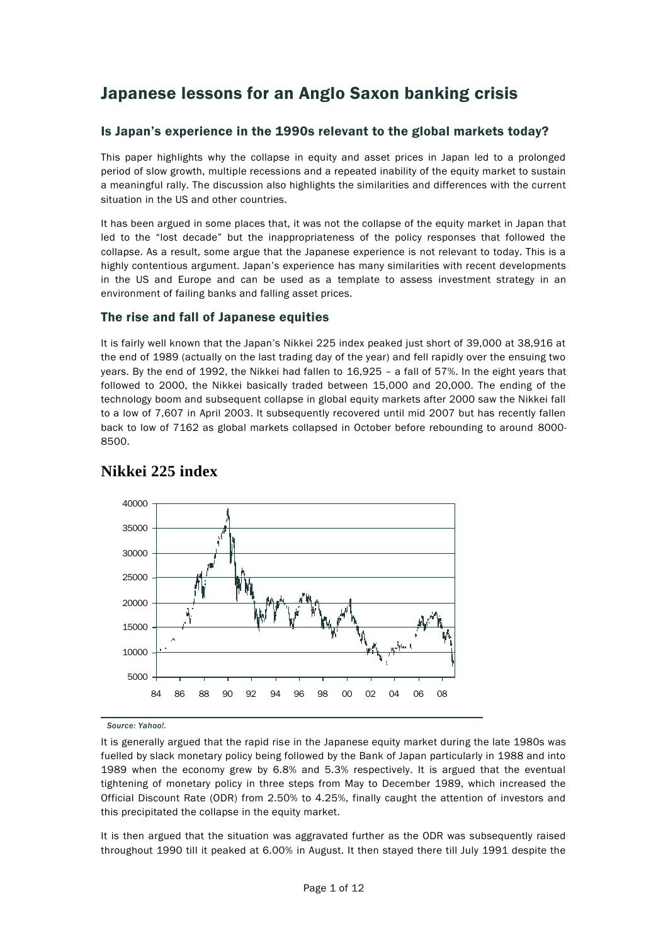# Japanese lessons for an Anglo Saxon banking crisis

#### Is Japan's experience in the 1990s relevant to the global markets today?

This paper highlights why the collapse in equity and asset prices in Japan led to a prolonged period of slow growth, multiple recessions and a repeated inability of the equity market to sustain a meaningful rally. The discussion also highlights the similarities and differences with the current situation in the US and other countries.

It has been argued in some places that, it was not the collapse of the equity market in Japan that led to the "lost decade" but the inappropriateness of the policy responses that followed the collapse. As a result, some argue that the Japanese experience is not relevant to today. This is a highly contentious argument. Japan's experience has many similarities with recent developments in the US and Europe and can be used as a template to assess investment strategy in an environment of failing banks and falling asset prices.

#### The rise and fall of Japanese equities

It is fairly well known that the Japan's Nikkei 225 index peaked just short of 39,000 at 38,916 at the end of 1989 (actually on the last trading day of the year) and fell rapidly over the ensuing two years. By the end of 1992, the Nikkei had fallen to 16,925 – a fall of 57%. In the eight years that followed to 2000, the Nikkei basically traded between 15,000 and 20,000. The ending of the technology boom and subsequent collapse in global equity markets after 2000 saw the Nikkei fall to a low of 7,607 in April 2003. It subsequently recovered until mid 2007 but has recently fallen back to low of 7162 as global markets collapsed in October before rebounding to around 8000- 8500.



## **Nikkei 225 index**

*Source: Yahoo!.*

It is generally argued that the rapid rise in the Japanese equity market during the late 1980s was fuelled by slack monetary policy being followed by the Bank of Japan particularly in 1988 and into 1989 when the economy grew by 6.8% and 5.3% respectively. It is argued that the eventual tightening of monetary policy in three steps from May to December 1989, which increased the Official Discount Rate (ODR) from 2.50% to 4.25%, finally caught the attention of investors and this precipitated the collapse in the equity market.

It is then argued that the situation was aggravated further as the ODR was subsequently raised throughout 1990 till it peaked at 6.00% in August. It then stayed there till July 1991 despite the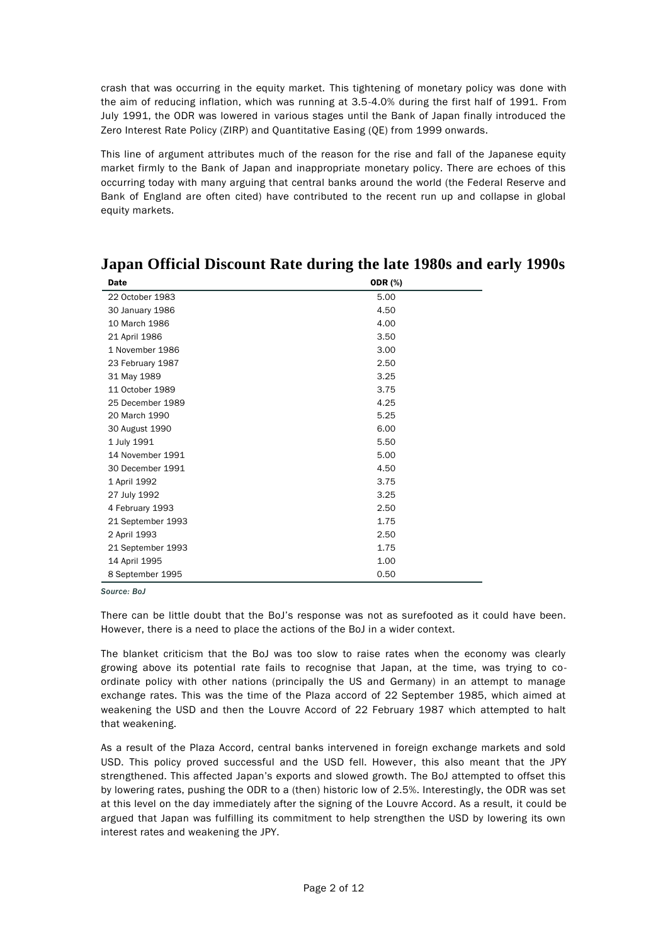crash that was occurring in the equity market. This tightening of monetary policy was done with the aim of reducing inflation, which was running at 3.5-4.0% during the first half of 1991. From July 1991, the ODR was lowered in various stages until the Bank of Japan finally introduced the Zero Interest Rate Policy (ZIRP) and Quantitative Easing (QE) from 1999 onwards.

This line of argument attributes much of the reason for the rise and fall of the Japanese equity market firmly to the Bank of Japan and inappropriate monetary policy. There are echoes of this occurring today with many arguing that central banks around the world (the Federal Reserve and Bank of England are often cited) have contributed to the recent run up and collapse in global equity markets.

| Date              | <b>ODR</b> (%) |  |
|-------------------|----------------|--|
| 22 October 1983   | 5.00           |  |
| 30 January 1986   | 4.50           |  |
| 10 March 1986     | 4.00           |  |
| 21 April 1986     | 3.50           |  |
| 1 November 1986   | 3.00           |  |
| 23 February 1987  | 2.50           |  |
| 31 May 1989       | 3.25           |  |
| 11 October 1989   | 3.75           |  |
| 25 December 1989  | 4.25           |  |
| 20 March 1990     | 5.25           |  |
| 30 August 1990    | 6.00           |  |
| 1 July 1991       | 5.50           |  |
| 14 November 1991  | 5.00           |  |
| 30 December 1991  | 4.50           |  |
| 1 April 1992      | 3.75           |  |
| 27 July 1992      | 3.25           |  |
| 4 February 1993   | 2.50           |  |
| 21 September 1993 | 1.75           |  |
| 2 April 1993      | 2.50           |  |
| 21 September 1993 | 1.75           |  |
| 14 April 1995     | 1.00           |  |
| 8 September 1995  | 0.50           |  |

## **Japan Official Discount Rate during the late 1980s and early 1990s**

*Source: BoJ*

There can be little doubt that the BoJ's response was not as surefooted as it could have been. However, there is a need to place the actions of the BoJ in a wider context.

The blanket criticism that the BoJ was too slow to raise rates when the economy was clearly growing above its potential rate fails to recognise that Japan, at the time, was trying to coordinate policy with other nations (principally the US and Germany) in an attempt to manage exchange rates. This was the time of the Plaza accord of 22 September 1985, which aimed at weakening the USD and then the Louvre Accord of 22 February 1987 which attempted to halt that weakening.

As a result of the Plaza Accord, central banks intervened in foreign exchange markets and sold USD. This policy proved successful and the USD fell. However, this also meant that the JPY strengthened. This affected Japan's exports and slowed growth. The BoJ attempted to offset this by lowering rates, pushing the ODR to a (then) historic low of 2.5%. Interestingly, the ODR was set at this level on the day immediately after the signing of the Louvre Accord. As a result, it could be argued that Japan was fulfilling its commitment to help strengthen the USD by lowering its own interest rates and weakening the JPY.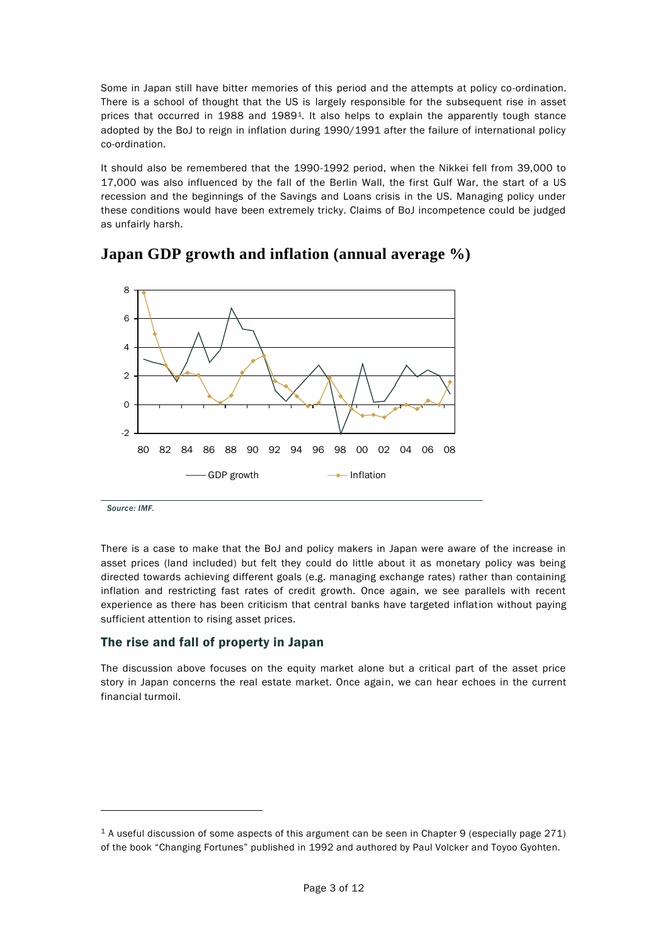Some in Japan still have bitter memories of this period and the attempts at policy co-ordination. There is a school of thought that the US is largely responsible for the subsequent rise in asset prices that occurred in 1988 and 1989<sup>1</sup>. It also helps to explain the apparently tough stance adopted by the BoJ to reign in inflation during 1990/1991 after the failure of international policy co-ordination.

It should also be remembered that the 1990-1992 period, when the Nikkei fell from 39,000 to 17,000 was also influenced by the fall of the Berlin Wall, the first Gulf War, the start of a US recession and the beginnings of the Savings and Loans crisis in the US. Managing policy under these conditions would have been extremely tricky. Claims of BoJ incompetence could be judged as unfairly harsh.



### **Japan GDP growth and inflation (annual average %)**

*Source: IMF.*

-

There is a case to make that the BoJ and policy makers in Japan were aware of the increase in asset prices (land included) but felt they could do little about it as monetary policy was being directed towards achieving different goals (e.g. managing exchange rates) rather than containing inflation and restricting fast rates of credit growth. Once again, we see parallels with recent experience as there has been criticism that central banks have targeted inflation without paying sufficient attention to rising asset prices.

#### The rise and fall of property in Japan

The discussion above focuses on the equity market alone but a critical part of the asset price story in Japan concerns the real estate market. Once again, we can hear echoes in the current financial turmoil.

<sup>1</sup> A useful discussion of some aspects of this argument can be seen in Chapter 9 (especially page 271) of the book "Changing Fortunes" published in 1992 and authored by Paul Volcker and Toyoo Gyohten.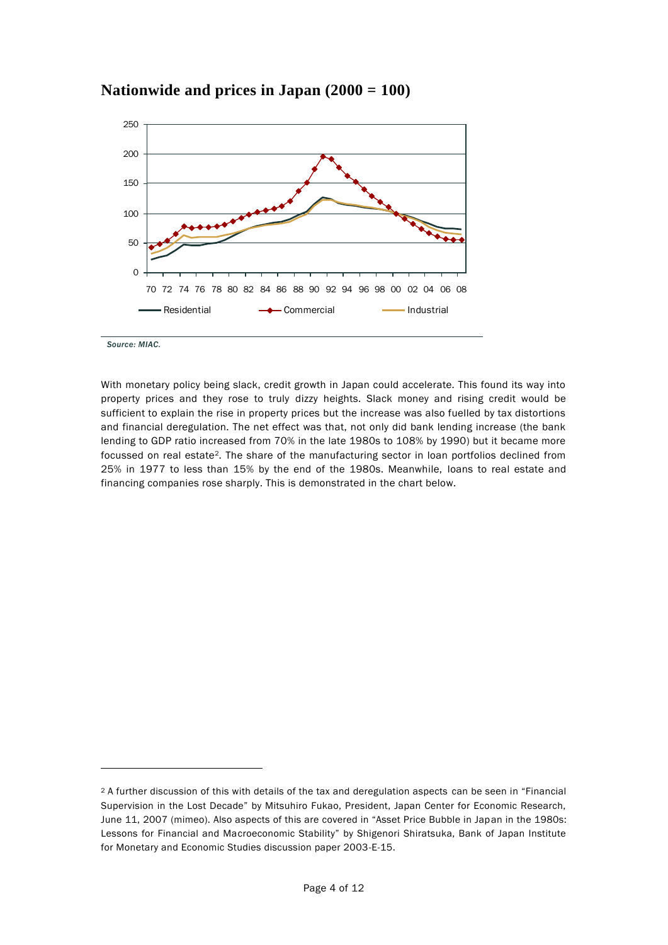

### **Nationwide and prices in Japan (2000 = 100)**

*Source: MIAC.*

 $\overline{a}$ 

With monetary policy being slack, credit growth in Japan could accelerate. This found its way into property prices and they rose to truly dizzy heights. Slack money and rising credit would be sufficient to explain the rise in property prices but the increase was also fuelled by tax distortions and financial deregulation. The net effect was that, not only did bank lending increase (the bank lending to GDP ratio increased from 70% in the late 1980s to 108% by 1990) but it became more focussed on real estate2. The share of the manufacturing sector in loan portfolios declined from 25% in 1977 to less than 15% by the end of the 1980s. Meanwhile, loans to real estate and financing companies rose sharply. This is demonstrated in the chart below.

<sup>2</sup> A further discussion of this with details of the tax and deregulation aspects can be seen in "Financial Supervision in the Lost Decade" by Mitsuhiro Fukao, President, Japan Center for Economic Research, June 11, 2007 (mimeo). Also aspects of this are covered in "Asset Price Bubble in Japan in the 1980s: Lessons for Financial and Macroeconomic Stability" by Shigenori Shiratsuka, Bank of Japan Institute for Monetary and Economic Studies discussion paper 2003-E-15.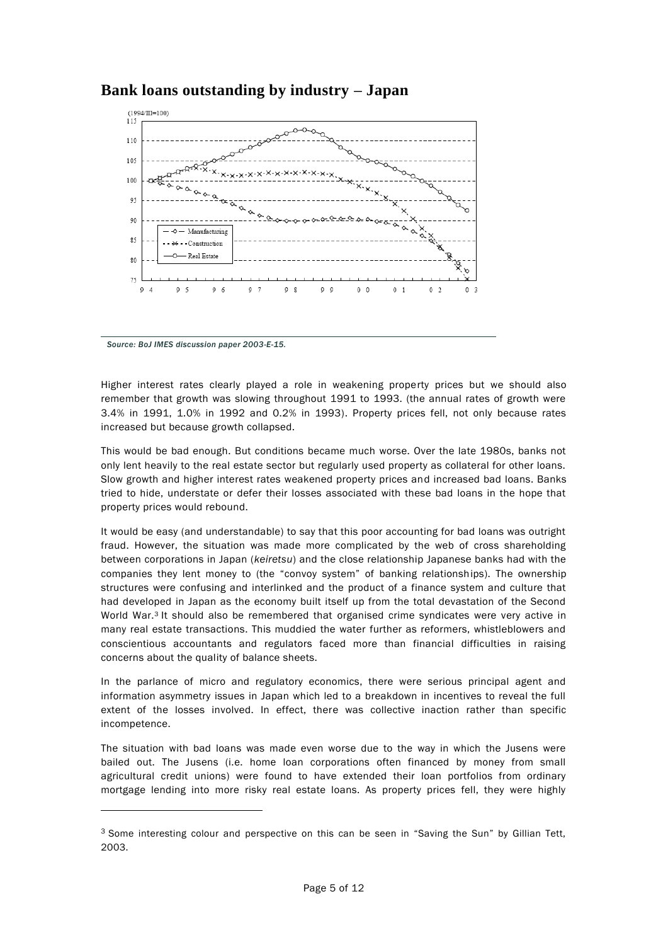



*Source: BoJ IMES discussion paper 2003-E-15.*

-

Higher interest rates clearly played a role in weakening property prices but we should also remember that growth was slowing throughout 1991 to 1993. (the annual rates of growth were 3.4% in 1991, 1.0% in 1992 and 0.2% in 1993). Property prices fell, not only because rates increased but because growth collapsed.

This would be bad enough. But conditions became much worse. Over the late 1980s, banks not only lent heavily to the real estate sector but regularly used property as collateral for other loans. Slow growth and higher interest rates weakened property prices and increased bad loans. Banks tried to hide, understate or defer their losses associated with these bad loans in the hope that property prices would rebound.

It would be easy (and understandable) to say that this poor accounting for bad loans was outright fraud. However, the situation was made more complicated by the web of cross shareholding between corporations in Japan (*keiretsu*) and the close relationship Japanese banks had with the companies they lent money to (the "convoy system" of banking relationships). The ownership structures were confusing and interlinked and the product of a finance system and culture that had developed in Japan as the economy built itself up from the total devastation of the Second World War.<sup>3</sup> It should also be remembered that organised crime syndicates were very active in many real estate transactions. This muddied the water further as reformers, whistleblowers and conscientious accountants and regulators faced more than financial difficulties in raising concerns about the quality of balance sheets.

In the parlance of micro and regulatory economics, there were serious principal agent and information asymmetry issues in Japan which led to a breakdown in incentives to reveal the full extent of the losses involved. In effect, there was collective inaction rather than specific incompetence.

The situation with bad loans was made even worse due to the way in which the Jusens were bailed out. The Jusens (i.e. home loan corporations often financed by money from small agricultural credit unions) were found to have extended their loan portfolios from ordinary mortgage lending into more risky real estate loans. As property prices fell, they were highly

<sup>&</sup>lt;sup>3</sup> Some interesting colour and perspective on this can be seen in "Saving the Sun" by Gillian Tett, 2003.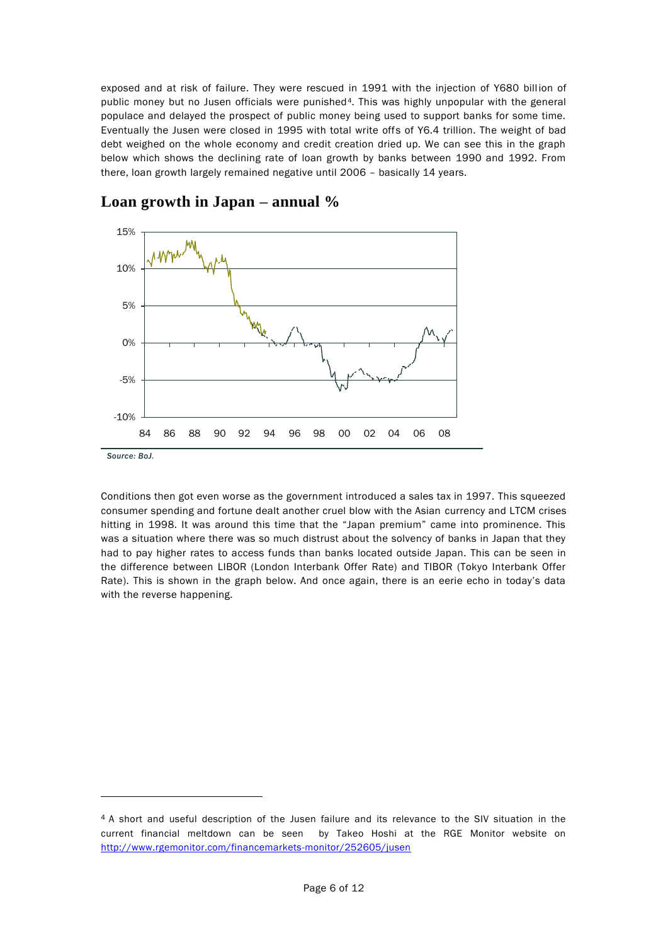exposed and at risk of failure. They were rescued in 1991 with the injection of Y680 billion of public money but no Jusen officials were punished<sup>4</sup>. This was highly unpopular with the general populace and delayed the prospect of public money being used to support banks for some time. Eventually the Jusen were closed in 1995 with total write offs of Y6.4 trillion. The weight of bad debt weighed on the whole economy and credit creation dried up. We can see this in the graph below which shows the declining rate of loan growth by banks between 1990 and 1992. From there, loan growth largely remained negative until 2006 – basically 14 years.





-

Conditions then got even worse as the government introduced a sales tax in 1997. This squeezed consumer spending and fortune dealt another cruel blow with the Asian currency and LTCM crises hitting in 1998. It was around this time that the "Japan premium" came into prominence. This was a situation where there was so much distrust about the solvency of banks in Japan that they had to pay higher rates to access funds than banks located outside Japan. This can be seen in the difference between LIBOR (London Interbank Offer Rate) and TIBOR (Tokyo Interbank Offer Rate). This is shown in the graph below. And once again, there is an eerie echo in today's data with the reverse happening.

<sup>4</sup> A short and useful description of the Jusen failure and its relevance to the SIV situation in the current financial meltdown can be seen by Takeo Hoshi at the RGE Monitor website on <http://www.rgemonitor.com/financemarkets-monitor/252605/jusen>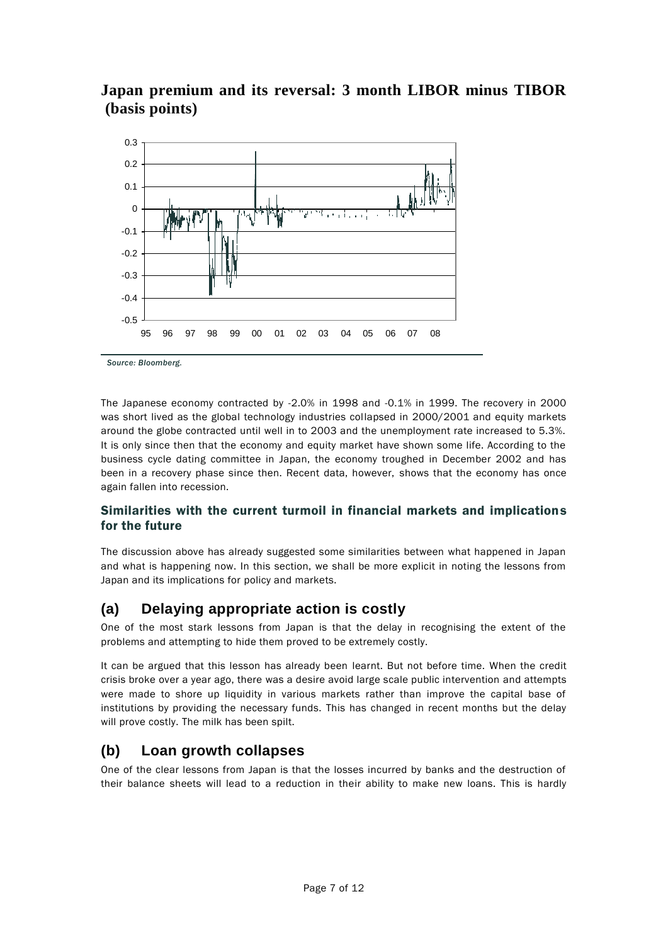## **Japan premium and its reversal: 3 month LIBOR minus TIBOR (basis points)**



*Source: Bloomberg.*

The Japanese economy contracted by -2.0% in 1998 and -0.1% in 1999. The recovery in 2000 was short lived as the global technology industries collapsed in 2000/2001 and equity markets around the globe contracted until well in to 2003 and the unemployment rate increased to 5.3%. It is only since then that the economy and equity market have shown some life. According to the business cycle dating committee in Japan, the economy troughed in December 2002 and has been in a recovery phase since then. Recent data, however, shows that the economy has once again fallen into recession.

#### Similarities with the current turmoil in financial markets and implications for the future

The discussion above has already suggested some similarities between what happened in Japan and what is happening now. In this section, we shall be more explicit in noting the lessons from Japan and its implications for policy and markets.

### **(a) Delaying appropriate action is costly**

One of the most stark lessons from Japan is that the delay in recognising the extent of the problems and attempting to hide them proved to be extremely costly.

It can be argued that this lesson has already been learnt. But not before time. When the credit crisis broke over a year ago, there was a desire avoid large scale public intervention and attempts were made to shore up liquidity in various markets rather than improve the capital base of institutions by providing the necessary funds. This has changed in recent months but the delay will prove costly. The milk has been spilt.

### **(b) Loan growth collapses**

One of the clear lessons from Japan is that the losses incurred by banks and the destruction of their balance sheets will lead to a reduction in their ability to make new loans. This is hardly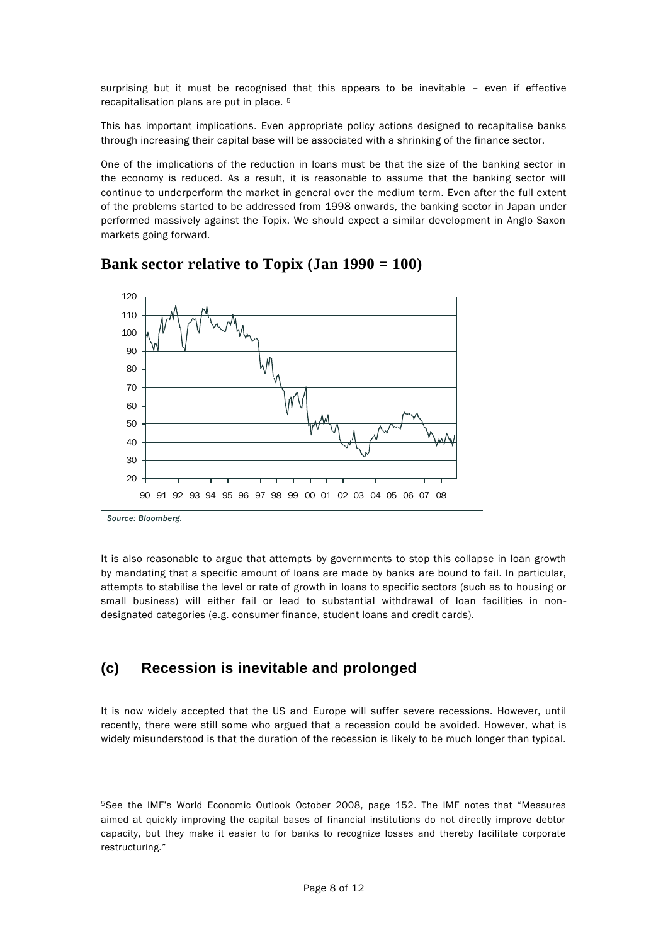surprising but it must be recognised that this appears to be inevitable – even if effective recapitalisation plans are put in place. <sup>5</sup>

This has important implications. Even appropriate policy actions designed to recapitalise banks through increasing their capital base will be associated with a shrinking of the finance sector.

One of the implications of the reduction in loans must be that the size of the banking sector in the economy is reduced. As a result, it is reasonable to assume that the banking sector will continue to underperform the market in general over the medium term. Even after the full extent of the problems started to be addressed from 1998 onwards, the banking sector in Japan under performed massively against the Topix. We should expect a similar development in Anglo Saxon markets going forward.



### **Bank sector relative to Topix (Jan 1990 = 100)**

*Source: Bloomberg.*

-

It is also reasonable to argue that attempts by governments to stop this collapse in loan growth by mandating that a specific amount of loans are made by banks are bound to fail. In particular, attempts to stabilise the level or rate of growth in loans to specific sectors (such as to housing or small business) will either fail or lead to substantial withdrawal of loan facilities in nondesignated categories (e.g. consumer finance, student loans and credit cards).

## **(c) Recession is inevitable and prolonged**

It is now widely accepted that the US and Europe will suffer severe recessions. However, until recently, there were still some who argued that a recession could be avoided. However, what is widely misunderstood is that the duration of the recession is likely to be much longer than typical.

<sup>5</sup>See the IMF's World Economic Outlook October 2008, page 152. The IMF notes that "Measures aimed at quickly improving the capital bases of financial institutions do not directly improve debtor capacity, but they make it easier to for banks to recognize losses and thereby facilitate corporate restructuring."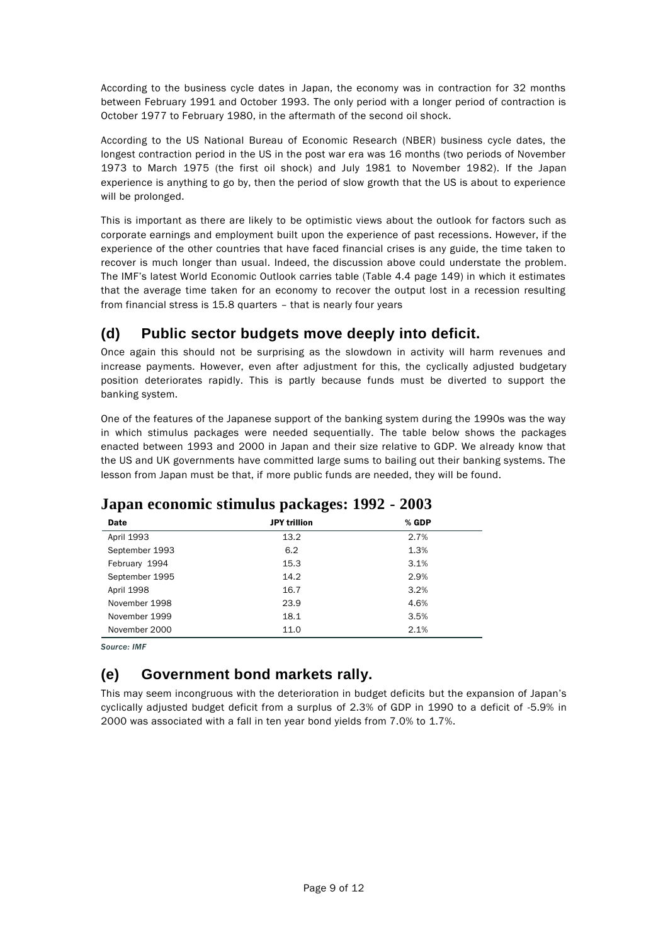According to the business cycle dates in Japan, the economy was in contraction for 32 months between February 1991 and October 1993. The only period with a longer period of contraction is October 1977 to February 1980, in the aftermath of the second oil shock.

According to the US National Bureau of Economic Research (NBER) business cycle dates, the longest contraction period in the US in the post war era was 16 months (two periods of November 1973 to March 1975 (the first oil shock) and July 1981 to November 1982). If the Japan experience is anything to go by, then the period of slow growth that the US is about to experience will be prolonged.

This is important as there are likely to be optimistic views about the outlook for factors such as corporate earnings and employment built upon the experience of past recessions. However, if the experience of the other countries that have faced financial crises is any guide, the time taken to recover is much longer than usual. Indeed, the discussion above could understate the problem. The IMF's latest World Economic Outlook carries table (Table 4.4 page 149) in which it estimates that the average time taken for an economy to recover the output lost in a recession resulting from financial stress is 15.8 quarters – that is nearly four years

## **(d) Public sector budgets move deeply into deficit.**

Once again this should not be surprising as the slowdown in activity will harm revenues and increase payments. However, even after adjustment for this, the cyclically adjusted budgetary position deteriorates rapidly. This is partly because funds must be diverted to support the banking system.

One of the features of the Japanese support of the banking system during the 1990s was the way in which stimulus packages were needed sequentially. The table below shows the packages enacted between 1993 and 2000 in Japan and their size relative to GDP. We already know that the US and UK governments have committed large sums to bailing out their banking systems. The lesson from Japan must be that, if more public funds are needed, they will be found.

| Date           | <b>JPY trillion</b> | $%$ GDP |  |
|----------------|---------------------|---------|--|
| April 1993     | 13.2                | 2.7%    |  |
| September 1993 | 6.2                 | 1.3%    |  |
| February 1994  | 15.3                | 3.1%    |  |
| September 1995 | 14.2                | 2.9%    |  |
| April 1998     | 16.7                | 3.2%    |  |
| November 1998  | 23.9                | 4.6%    |  |
| November 1999  | 18.1                | 3.5%    |  |
| November 2000  | 11.0                | 2.1%    |  |
|                |                     |         |  |

### **Japan economic stimulus packages: 1992 - 2003**

*Source: IMF*

## **(e) Government bond markets rally.**

This may seem incongruous with the deterioration in budget deficits but the expansion of Japan's cyclically adjusted budget deficit from a surplus of 2.3% of GDP in 1990 to a deficit of -5.9% in 2000 was associated with a fall in ten year bond yields from 7.0% to 1.7%.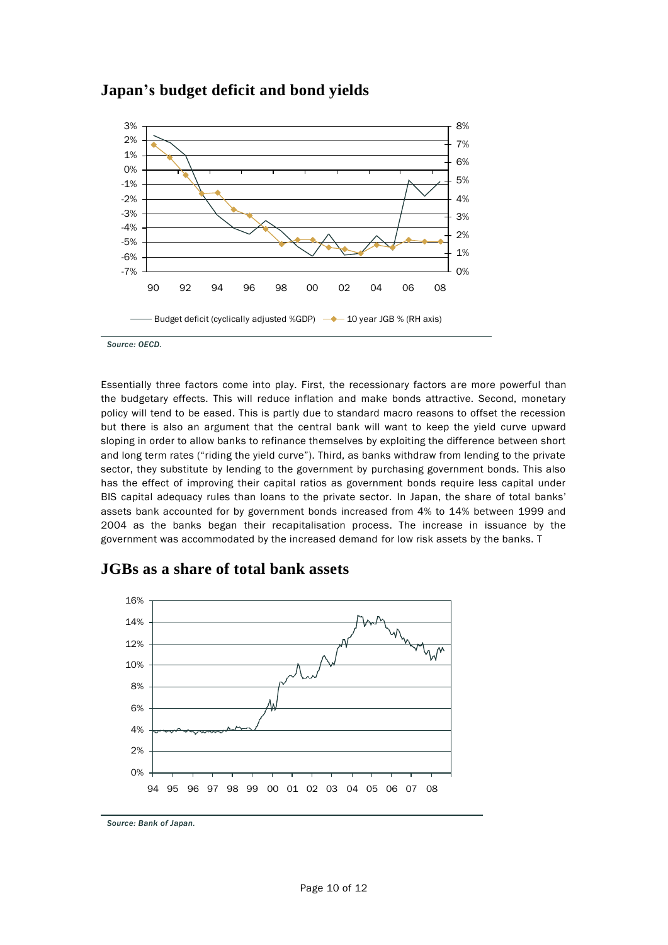

### **Japan's budget deficit and bond yields**

*Source: OECD.*

Essentially three factors come into play. First, the recessionary factors are more powerful than the budgetary effects. This will reduce inflation and make bonds attractive. Second, monetary policy will tend to be eased. This is partly due to standard macro reasons to offset the recession but there is also an argument that the central bank will want to keep the yield curve upward sloping in order to allow banks to refinance themselves by exploiting the difference between short and long term rates ("riding the yield curve"). Third, as banks withdraw from lending to the private sector, they substitute by lending to the government by purchasing government bonds. This also has the effect of improving their capital ratios as government bonds require less capital under BIS capital adequacy rules than loans to the private sector. In Japan, the share of total banks' assets bank accounted for by government bonds increased from 4% to 14% between 1999 and 2004 as the banks began their recapitalisation process. The increase in issuance by the government was accommodated by the increased demand for low risk assets by the banks. T

### **JGBs as a share of total bank assets**



*Source: Bank of Japan.*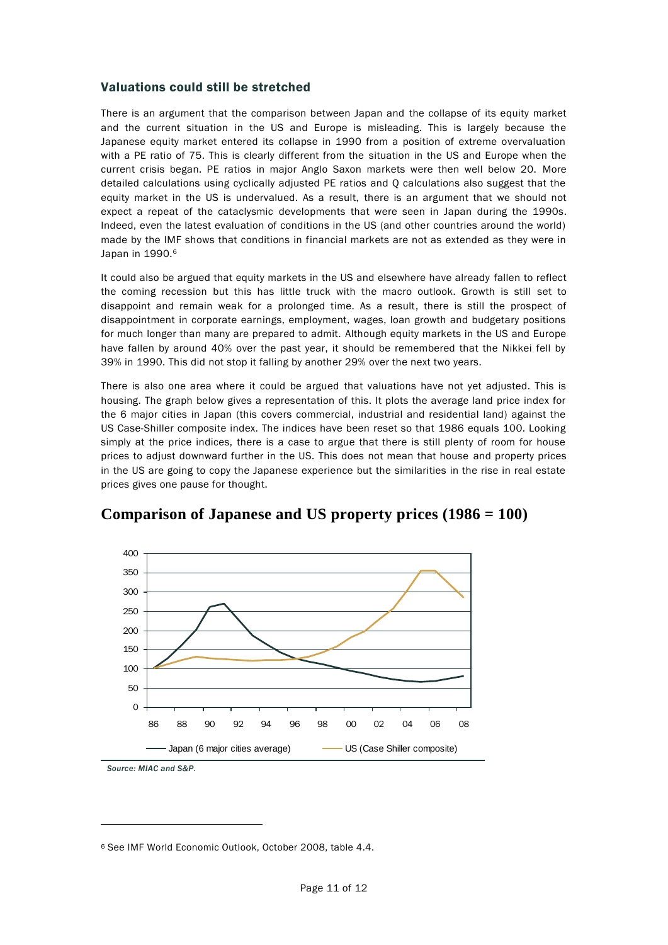#### Valuations could still be stretched

There is an argument that the comparison between Japan and the collapse of its equity market and the current situation in the US and Europe is misleading. This is largely because the Japanese equity market entered its collapse in 1990 from a position of extreme overvaluation with a PE ratio of 75. This is clearly different from the situation in the US and Europe when the current crisis began. PE ratios in major Anglo Saxon markets were then well below 20. More detailed calculations using cyclically adjusted PE ratios and Q calculations also suggest that the equity market in the US is undervalued. As a result, there is an argument that we should not expect a repeat of the cataclysmic developments that were seen in Japan during the 1990s. Indeed, even the latest evaluation of conditions in the US (and other countries around the world) made by the IMF shows that conditions in financial markets are not as extended as they were in Japan in 1990.<sup>6</sup>

It could also be argued that equity markets in the US and elsewhere have already fallen to reflect the coming recession but this has little truck with the macro outlook. Growth is still set to disappoint and remain weak for a prolonged time. As a result, there is still the prospect of disappointment in corporate earnings, employment, wages, loan growth and budgetary positions for much longer than many are prepared to admit. Although equity markets in the US and Europe have fallen by around 40% over the past year, it should be remembered that the Nikkei fell by 39% in 1990. This did not stop it falling by another 29% over the next two years.

There is also one area where it could be argued that valuations have not yet adjusted. This is housing. The graph below gives a representation of this. It plots the average land price index for the 6 major cities in Japan (this covers commercial, industrial and residential land) against the US Case-Shiller composite index. The indices have been reset so that 1986 equals 100. Looking simply at the price indices, there is a case to argue that there is still plenty of room for house prices to adjust downward further in the US. This does not mean that house and property prices in the US are going to copy the Japanese experience but the similarities in the rise in real estate prices gives one pause for thought.



### **Comparison of Japanese and US property prices (1986 = 100)**

*Source: MIAC and S&P.*

 $\overline{a}$ 

<sup>6</sup> See IMF World Economic Outlook, October 2008, table 4.4.